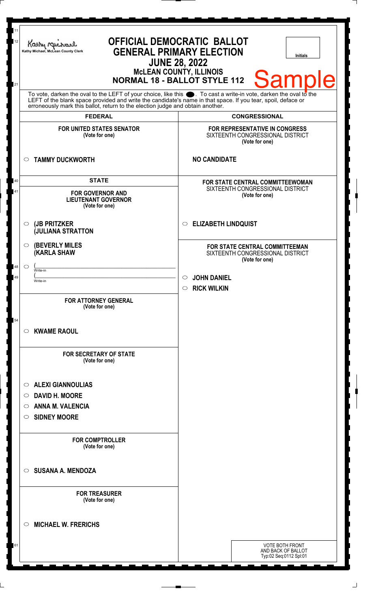| 11<br>$12\,$ | Kathy Mic<br>Kathy Michael, McLean County Clerk                                                                                                                                                                                                                                                                        | <b>OFFICIAL DEMOCRATIC BALLOT</b><br><b>GENERAL PRIMARY ELECTION</b><br><b>Initials</b><br><b>JUNE 28, 2022</b> |  |
|--------------|------------------------------------------------------------------------------------------------------------------------------------------------------------------------------------------------------------------------------------------------------------------------------------------------------------------------|-----------------------------------------------------------------------------------------------------------------|--|
| 21           | <b>MCLEAN COUNTY, ILLINOIS</b><br><b>Sample</b><br><b>NORMAL 18 - BALLOT STYLE 112</b>                                                                                                                                                                                                                                 |                                                                                                                 |  |
|              | To vote, darken the oval to the LEFT of your choice, like this $\bullet$ . To cast a write-in vote, darken the oval to the LEFT of the blank space provided and write the candidate's name in that space. If you tear, spoil, deface<br>erroneously mark this ballot, return to the election judge and obtain another. |                                                                                                                 |  |
|              | <b>FEDERAL</b>                                                                                                                                                                                                                                                                                                         | <b>CONGRESSIONAL</b>                                                                                            |  |
|              | <b>FOR UNITED STATES SENATOR</b><br>(Vote for one)                                                                                                                                                                                                                                                                     | FOR REPRESENTATIVE IN CONGRESS<br>SIXTEENTH CONGRESSIONAL DISTRICT<br>(Vote for one)                            |  |
|              | <b>TAMMY DUCKWORTH</b><br>$\circ$                                                                                                                                                                                                                                                                                      | <b>NO CANDIDATE</b>                                                                                             |  |
| 40<br>41     | <b>STATE</b><br><b>FOR GOVERNOR AND</b><br><b>LIEUTENANT GOVERNOR</b><br>(Vote for one)                                                                                                                                                                                                                                | FOR STATE CENTRAL COMMITTEEWOMAN<br>SIXTEENTH CONGRESSIONAL DISTRICT<br>(Vote for one)                          |  |
|              | (JB PRITZKER<br>$\circ$<br><b>JULIANA STRATTON</b>                                                                                                                                                                                                                                                                     | <b>ELIZABETH LINDQUIST</b><br>$\circ$                                                                           |  |
|              | <b>(BEVERLY MILES)</b><br>$\circ$<br><b>KARLA SHAW</b>                                                                                                                                                                                                                                                                 | FOR STATE CENTRAL COMMITTEEMAN<br>SIXTEENTH CONGRESSIONAL DISTRICT<br>(Vote for one)                            |  |
| 48           | $\circ$<br>Write-in<br>Write-in                                                                                                                                                                                                                                                                                        | <b>JOHN DANIEL</b><br><b>RICK WILKIN</b><br>$\circ$                                                             |  |
|              | <b>FOR ATTORNEY GENERAL</b><br>(Vote for one)                                                                                                                                                                                                                                                                          |                                                                                                                 |  |
| 54           | <b>KWAME RAOUL</b><br>$\circ$                                                                                                                                                                                                                                                                                          |                                                                                                                 |  |
|              | <b>FOR SECRETARY OF STATE</b><br>(Vote for one)                                                                                                                                                                                                                                                                        |                                                                                                                 |  |
|              | <b>ALEXI GIANNOULIAS</b><br>$\circ$                                                                                                                                                                                                                                                                                    |                                                                                                                 |  |
|              | DAVID H. MOORE<br>$\circ$                                                                                                                                                                                                                                                                                              |                                                                                                                 |  |
|              | <b>ANNA M. VALENCIA</b><br>O                                                                                                                                                                                                                                                                                           |                                                                                                                 |  |
|              | <b>SIDNEY MOORE</b><br>$\circ$                                                                                                                                                                                                                                                                                         |                                                                                                                 |  |
|              | <b>FOR COMPTROLLER</b><br>(Vote for one)                                                                                                                                                                                                                                                                               |                                                                                                                 |  |
|              | <b>SUSANA A. MENDOZA</b><br>$\circ$                                                                                                                                                                                                                                                                                    |                                                                                                                 |  |
|              | <b>FOR TREASURER</b><br>(Vote for one)                                                                                                                                                                                                                                                                                 |                                                                                                                 |  |
|              | <b>MICHAEL W. FRERICHS</b><br>$\circ$                                                                                                                                                                                                                                                                                  |                                                                                                                 |  |
| 61           |                                                                                                                                                                                                                                                                                                                        | <b>VOTE BOTH FRONT</b><br>AND BACK OF BALLOT<br>Typ:02 Seq:0112 Spl:01                                          |  |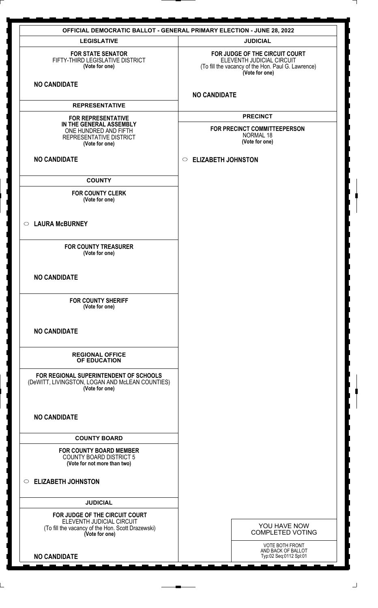| <b>OFFICIAL DEMOCRATIC BALLOT - GENERAL PRIMARY ELECTION - JUNE 28, 2022</b>                                                       |                                                                                                                                     |  |
|------------------------------------------------------------------------------------------------------------------------------------|-------------------------------------------------------------------------------------------------------------------------------------|--|
| <b>LEGISLATIVE</b>                                                                                                                 | <b>JUDICIAL</b>                                                                                                                     |  |
| <b>FOR STATE SENATOR</b><br>FIFTY-THIRD LEGISLATIVE DISTRICT<br>(Vote for one)                                                     | FOR JUDGE OF THE CIRCUIT COURT<br>ELEVENTH JUDICIAL CIRCUIT<br>(To fill the vacancy of the Hon. Paul G. Lawrence)<br>(Vote for one) |  |
| <b>NO CANDIDATE</b>                                                                                                                | <b>NO CANDIDATE</b>                                                                                                                 |  |
| <b>REPRESENTATIVE</b>                                                                                                              |                                                                                                                                     |  |
| <b>FOR REPRESENTATIVE</b><br>IN THE GENERAL ASSEMBLY<br>ONE HUNDRED AND FIFTH<br>REPRESENTATIVE DISTRICT<br>(Vote for one)         | <b>PRECINCT</b><br>FOR PRECINCT COMMITTEEPERSON<br>NORMAL 18<br>(Vote for one)                                                      |  |
| <b>NO CANDIDATE</b>                                                                                                                | C ELIZABETH JOHNSTON                                                                                                                |  |
| <b>COUNTY</b>                                                                                                                      |                                                                                                                                     |  |
| <b>FOR COUNTY CLERK</b><br>(Vote for one)                                                                                          |                                                                                                                                     |  |
| ○ LAURA McBURNEY                                                                                                                   |                                                                                                                                     |  |
| <b>FOR COUNTY TREASURER</b><br>(Vote for one)                                                                                      |                                                                                                                                     |  |
| <b>NO CANDIDATE</b>                                                                                                                |                                                                                                                                     |  |
| <b>FOR COUNTY SHERIFF</b><br>(Vote for one)                                                                                        |                                                                                                                                     |  |
| <b>NO CANDIDATE</b>                                                                                                                |                                                                                                                                     |  |
| <b>REGIONAL OFFICE</b><br>OF EDUCATION                                                                                             |                                                                                                                                     |  |
| FOR REGIONAL SUPERINTENDENT OF SCHOOLS<br>(DeWITT, LIVINGSTON, LOGAN AND McLEAN COUNTIES)<br>(Vote for one)                        |                                                                                                                                     |  |
| <b>NO CANDIDATE</b>                                                                                                                |                                                                                                                                     |  |
| <b>COUNTY BOARD</b>                                                                                                                |                                                                                                                                     |  |
| <b>FOR COUNTY BOARD MEMBER</b><br><b>COUNTY BOARD DISTRICT 5</b><br>(Vote for not more than two)                                   |                                                                                                                                     |  |
| $\circ$ ELIZABETH JOHNSTON                                                                                                         |                                                                                                                                     |  |
| <b>JUDICIAL</b>                                                                                                                    |                                                                                                                                     |  |
| FOR JUDGE OF THE CIRCUIT COURT<br>ELEVENTH JUDICIAL CIRCUIT<br>(To fill the vacancy of the Hon. Scott Drazewski)<br>(Vote for one) | YOU HAVE NOW<br><b>COMPLETED VOTING</b>                                                                                             |  |
| <b>NO CANDIDATE</b>                                                                                                                | <b>VOTE BOTH FRONT</b><br>AND BACK OF BALLOT<br>Typ:02 Seq:0112 Spl:01                                                              |  |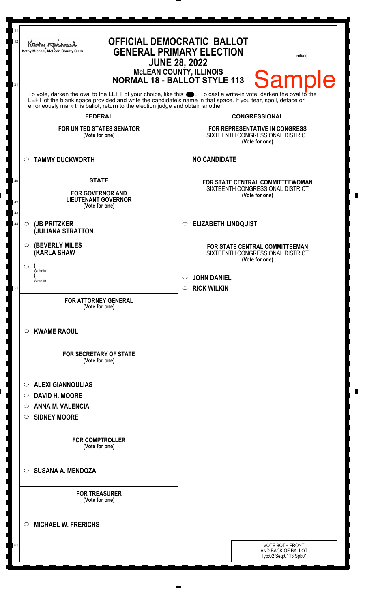| 11<br>12       | Kathy Mic<br>Kathy Michael, McLean County Clerk                                                                                                                                                                                                                                              | <b>OFFICIAL DEMOCRATIC BALLOT</b><br><b>GENERAL PRIMARY ELECTION</b><br><b>Initials</b><br><b>JUNE 28, 2022</b><br><b>MCLEAN COUNTY, ILLINOIS</b> |  |
|----------------|----------------------------------------------------------------------------------------------------------------------------------------------------------------------------------------------------------------------------------------------------------------------------------------------|---------------------------------------------------------------------------------------------------------------------------------------------------|--|
| 21             | <b>Sample</b><br><b>NORMAL 18 - BALLOT STYLE 113</b><br>To vote, darken the oval to the LEFT of your choice, like this $\bullet$ . To cast a write-in vote, darken the oval to the LEFT of the blank space provided and write the candidate's name in that space. If you tear, spoil, deface |                                                                                                                                                   |  |
|                | erroneously mark this ballot, return to the election judge and obtain another.                                                                                                                                                                                                               |                                                                                                                                                   |  |
|                | <b>FEDERAL</b>                                                                                                                                                                                                                                                                               | <b>CONGRESSIONAL</b>                                                                                                                              |  |
|                | <b>FOR UNITED STATES SENATOR</b><br>(Vote for one)                                                                                                                                                                                                                                           | FOR REPRESENTATIVE IN CONGRESS<br>SIXTEENTH CONGRESSIONAL DISTRICT<br>(Vote for one)                                                              |  |
|                | <b>TAMMY DUCKWORTH</b><br>$\circ$                                                                                                                                                                                                                                                            | <b>NO CANDIDATE</b>                                                                                                                               |  |
| 40<br>42<br>43 | <b>STATE</b><br><b>FOR GOVERNOR AND</b><br><b>LIEUTENANT GOVERNOR</b><br>(Vote for one)                                                                                                                                                                                                      | FOR STATE CENTRAL COMMITTEEWOMAN<br>SIXTEENTH CONGRESSIONAL DISTRICT<br>(Vote for one)                                                            |  |
| 44             | (JB PRITZKER<br>$\circ$<br><b>JULIANA STRATTON</b>                                                                                                                                                                                                                                           | <b>ELIZABETH LINDQUIST</b><br>$\circ$                                                                                                             |  |
|                | <b>(BEVERLY MILES)</b><br>$\circ$<br><b>KARLA SHAW</b>                                                                                                                                                                                                                                       | FOR STATE CENTRAL COMMITTEEMAN<br>SIXTEENTH CONGRESSIONAL DISTRICT<br>(Vote for one)                                                              |  |
|                | C<br>Write-in                                                                                                                                                                                                                                                                                |                                                                                                                                                   |  |
|                | Write-in                                                                                                                                                                                                                                                                                     | <b>JOHN DANIEL</b>                                                                                                                                |  |
| 51             | <b>FOR ATTORNEY GENERAL</b><br>(Vote for one)                                                                                                                                                                                                                                                | <b>RICK WILKIN</b><br>$\circ$                                                                                                                     |  |
|                | <b>KWAME RAOUL</b><br>$\circ$                                                                                                                                                                                                                                                                |                                                                                                                                                   |  |
|                | <b>FOR SECRETARY OF STATE</b><br>(Vote for one)                                                                                                                                                                                                                                              |                                                                                                                                                   |  |
|                | <b>ALEXI GIANNOULIAS</b><br>$\circ$                                                                                                                                                                                                                                                          |                                                                                                                                                   |  |
|                | DAVID H. MOORE<br>$\circ$                                                                                                                                                                                                                                                                    |                                                                                                                                                   |  |
|                | <b>ANNA M. VALENCIA</b><br>O                                                                                                                                                                                                                                                                 |                                                                                                                                                   |  |
|                | <b>SIDNEY MOORE</b><br>$\circ$                                                                                                                                                                                                                                                               |                                                                                                                                                   |  |
|                | <b>FOR COMPTROLLER</b><br>(Vote for one)                                                                                                                                                                                                                                                     |                                                                                                                                                   |  |
|                | <b>SUSANA A. MENDOZA</b><br>$\circ$                                                                                                                                                                                                                                                          |                                                                                                                                                   |  |
|                | <b>FOR TREASURER</b><br>(Vote for one)                                                                                                                                                                                                                                                       |                                                                                                                                                   |  |
|                | <b>MICHAEL W. FRERICHS</b><br>$\circ$                                                                                                                                                                                                                                                        |                                                                                                                                                   |  |
| 61             |                                                                                                                                                                                                                                                                                              | <b>VOTE BOTH FRONT</b><br>AND BACK OF BALLOT<br>Typ:02 Seq:0113 Spl:01                                                                            |  |